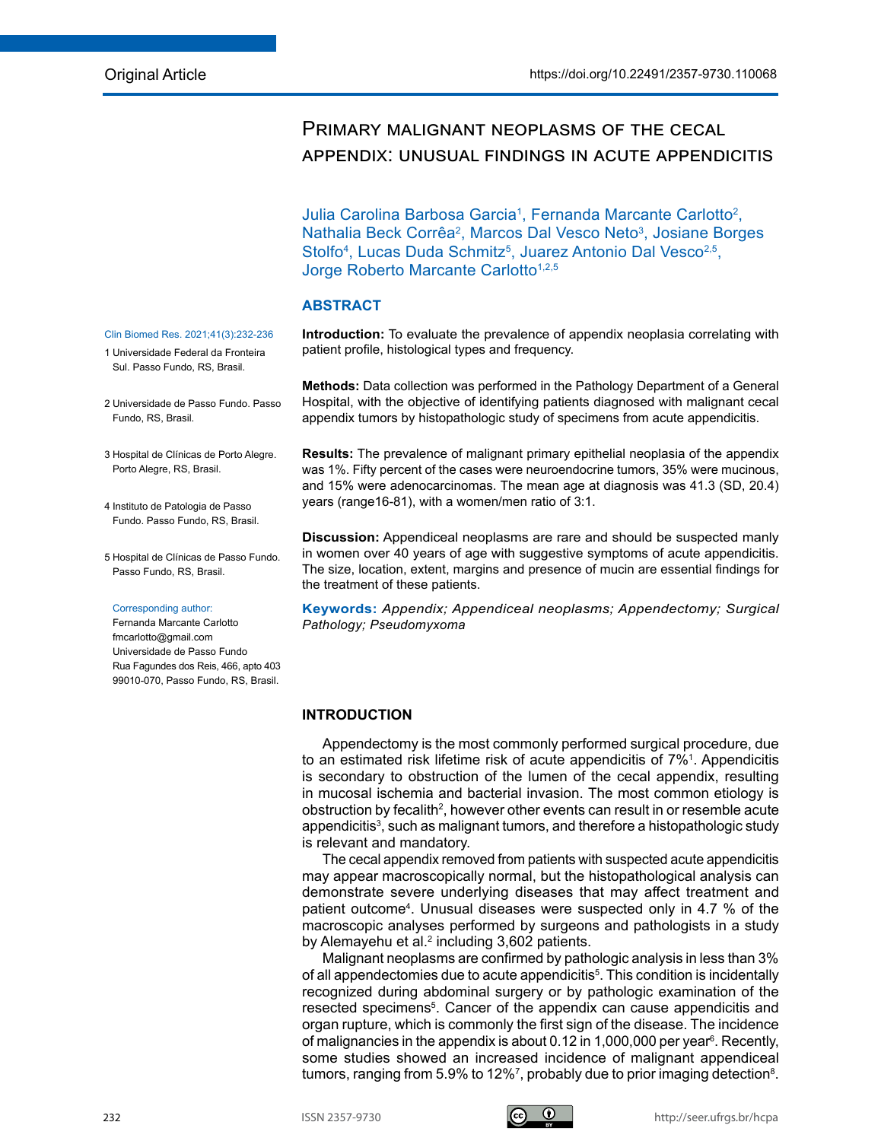# Primary malignant neoplasms of the cecal appendix: unusual findings in acute appendicitis

Julia Carolina Barbosa Garcia<sup>1</sup>, Fernanda Marcante Carlotto<sup>2</sup>, Nathalia Beck Corrêa<sup>2</sup>, Marcos Dal Vesco Neto<sup>3</sup>, Josiane Borges Stolfo<sup>4</sup>, Lucas Duda Schmitz<sup>5</sup>, Juarez Antonio Dal Vesco<sup>2,5</sup>, Jorge Roberto Marcante Carlotto<sup>1,2,5</sup>

# **ABSTRACT**

**Introduction:** To evaluate the prevalence of appendix neoplasia correlating with patient profile, histological types and frequency.

**Methods:** Data collection was performed in the Pathology Department of a General Hospital, with the objective of identifying patients diagnosed with malignant cecal appendix tumors by histopathologic study of specimens from acute appendicitis.

**Results:** The prevalence of malignant primary epithelial neoplasia of the appendix was 1%. Fifty percent of the cases were neuroendocrine tumors, 35% were mucinous, and 15% were adenocarcinomas. The mean age at diagnosis was 41.3 (SD, 20.4) years (range16-81), with a women/men ratio of 3:1.

**Discussion:** Appendiceal neoplasms are rare and should be suspected manly in women over 40 years of age with suggestive symptoms of acute appendicitis. The size, location, extent, margins and presence of mucin are essential findings for the treatment of these patients.

**Keywords:** *Appendix; Appendiceal neoplasms; Appendectomy; Surgical Pathology; Pseudomyxoma*

# **INTRODUCTION**

Appendectomy is the most commonly performed surgical procedure, due to an estimated risk lifetime risk of acute appendicitis of  $7\%$ <sup>1</sup>. Appendicitis is secondary to obstruction of the lumen of the cecal appendix, resulting in mucosal ischemia and bacterial invasion. The most common etiology is obstruction by fecalith<sup>2</sup>, however other events can result in or resemble acute appendicitis<sup>3</sup>, such as malignant tumors, and therefore a histopathologic study is relevant and mandatory.

The cecal appendix removed from patients with suspected acute appendicitis may appear macroscopically normal, but the histopathological analysis can demonstrate severe underlying diseases that may affect treatment and patient outcome4 . Unusual diseases were suspected only in 4.7 % of the macroscopic analyses performed by surgeons and pathologists in a study by Alemayehu et al.<sup>2</sup> including 3,602 patients.

Malignant neoplasms are confirmed by pathologic analysis in less than 3% of all appendectomies due to acute appendicitis<sup>5</sup>. This condition is incidentally recognized during abdominal surgery or by pathologic examination of the resected specimens<sup>5</sup>. Cancer of the appendix can cause appendicitis and organ rupture, which is commonly the first sign of the disease. The incidence of malignancies in the appendix is about 0.12 in 1,000,000 per year<sup>6</sup>. Recently, some studies showed an increased incidence of malignant appendiceal tumors, ranging from 5.9% to 12%<sup>7</sup>, probably due to prior imaging detection<sup>8</sup>.

#### Clin Biomed Res. 2021;41(3):232-236

- 1 Universidade Federal da Fronteira Sul. Passo Fundo, RS, Brasil.
- 2 Universidade de Passo Fundo. Passo Fundo, RS, Brasil.
- 3 Hospital de Clínicas de Porto Alegre. Porto Alegre, RS, Brasil.
- 4 Instituto de Patologia de Passo Fundo. Passo Fundo, RS, Brasil.
- 5 Hospital de Clínicas de Passo Fundo. Passo Fundo, RS, Brasil.

#### Corresponding author:

Fernanda Marcante Carlotto fmcarlotto@gmail.com Universidade de Passo Fundo Rua Fagundes dos Reis, 466, apto 403 99010-070, Passo Fundo, RS, Brasil.

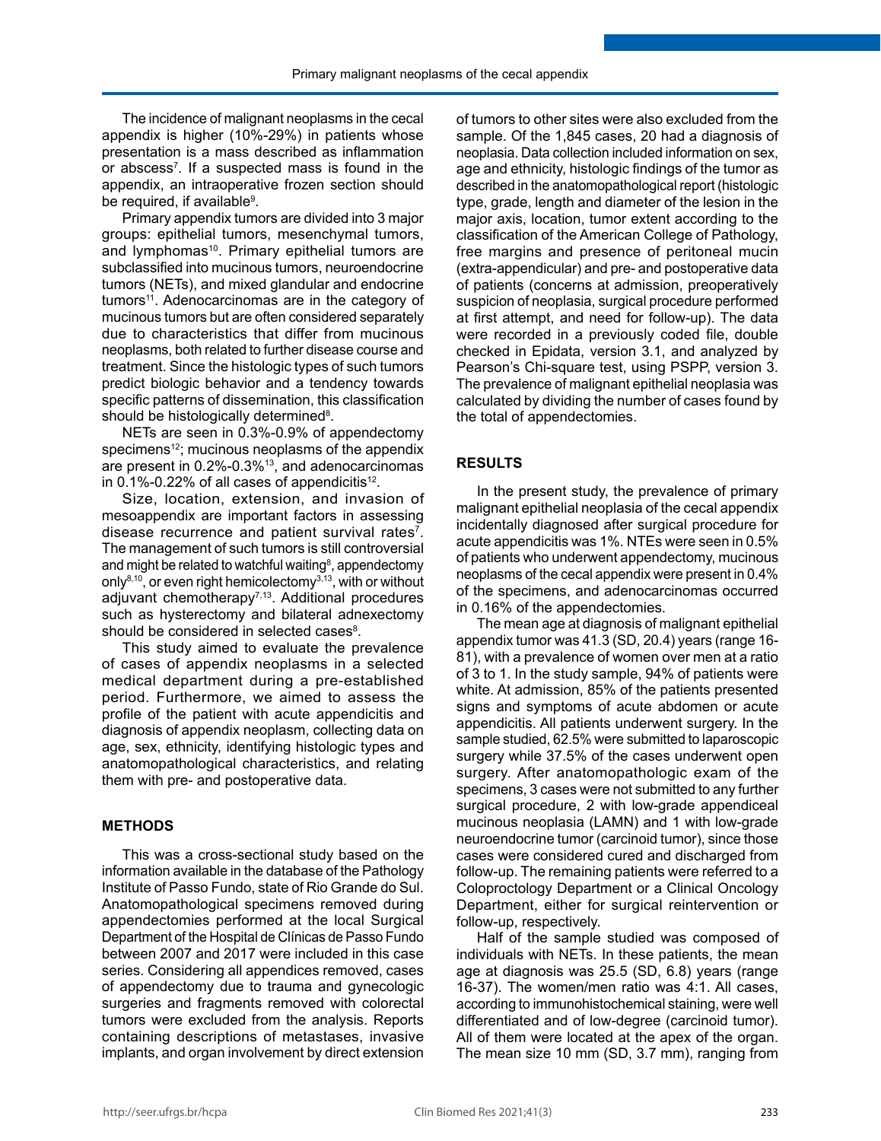The incidence of malignant neoplasms in the cecal appendix is higher (10%-29%) in patients whose presentation is a mass described as inflammation or abscess<sup>7</sup>. If a suspected mass is found in the appendix, an intraoperative frozen section should be required, if available<sup>9</sup>.

Primary appendix tumors are divided into 3 major groups: epithelial tumors, mesenchymal tumors, and lymphomas<sup>10</sup>. Primary epithelial tumors are subclassified into mucinous tumors, neuroendocrine tumors (NETs), and mixed glandular and endocrine tumors<sup>11</sup>. Adenocarcinomas are in the category of mucinous tumors but are often considered separately due to characteristics that differ from mucinous neoplasms, both related to further disease course and treatment. Since the histologic types of such tumors predict biologic behavior and a tendency towards specific patterns of dissemination, this classification should be histologically determined<sup>8</sup>.

NETs are seen in 0.3%-0.9% of appendectomy specimens<sup>12</sup>; mucinous neoplasms of the appendix are present in 0.2%-0.3%13, and adenocarcinomas in  $0.1\%$ -0.22% of all cases of appendicitis<sup>12</sup>.

Size, location, extension, and invasion of mesoappendix are important factors in assessing disease recurrence and patient survival rates<sup>7</sup>. The management of such tumors is still controversial and might be related to watchful waiting $\mathbf{^8}$ , appendectomy only<sup>8,10</sup>, or even right hemicolectomy<sup>3,13</sup>, with or without adjuvant chemotherapy<sup>7,13</sup>. Additional procedures such as hysterectomy and bilateral adnexectomy should be considered in selected cases $^8$ .

This study aimed to evaluate the prevalence of cases of appendix neoplasms in a selected medical department during a pre-established period. Furthermore, we aimed to assess the profile of the patient with acute appendicitis and diagnosis of appendix neoplasm, collecting data on age, sex, ethnicity, identifying histologic types and anatomopathological characteristics, and relating them with pre- and postoperative data.

#### **METHODS**

This was a cross-sectional study based on the information available in the database of the Pathology Institute of Passo Fundo, state of Rio Grande do Sul. Anatomopathological specimens removed during appendectomies performed at the local Surgical Department of the Hospital de Clínicas de Passo Fundo between 2007 and 2017 were included in this case series. Considering all appendices removed, cases of appendectomy due to trauma and gynecologic surgeries and fragments removed with colorectal tumors were excluded from the analysis. Reports containing descriptions of metastases, invasive implants, and organ involvement by direct extension

of tumors to other sites were also excluded from the sample. Of the 1,845 cases, 20 had a diagnosis of neoplasia. Data collection included information on sex, age and ethnicity, histologic findings of the tumor as described in the anatomopathological report (histologic type, grade, length and diameter of the lesion in the major axis, location, tumor extent according to the classification of the American College of Pathology, free margins and presence of peritoneal mucin (extra-appendicular) and pre- and postoperative data of patients (concerns at admission, preoperatively suspicion of neoplasia, surgical procedure performed at first attempt, and need for follow-up). The data were recorded in a previously coded file, double checked in Epidata, version 3.1, and analyzed by Pearson's Chi-square test, using PSPP, version 3. The prevalence of malignant epithelial neoplasia was calculated by dividing the number of cases found by the total of appendectomies.

## **RESULTS**

In the present study, the prevalence of primary malignant epithelial neoplasia of the cecal appendix incidentally diagnosed after surgical procedure for acute appendicitis was 1%. NTEs were seen in 0.5% of patients who underwent appendectomy, mucinous neoplasms of the cecal appendix were present in 0.4% of the specimens, and adenocarcinomas occurred in 0.16% of the appendectomies.

The mean age at diagnosis of malignant epithelial appendix tumor was 41.3 (SD, 20.4) years (range 16- 81), with a prevalence of women over men at a ratio of 3 to 1. In the study sample, 94% of patients were white. At admission, 85% of the patients presented signs and symptoms of acute abdomen or acute appendicitis. All patients underwent surgery. In the sample studied, 62.5% were submitted to laparoscopic surgery while 37.5% of the cases underwent open surgery. After anatomopathologic exam of the specimens, 3 cases were not submitted to any further surgical procedure, 2 with low-grade appendiceal mucinous neoplasia (LAMN) and 1 with low-grade neuroendocrine tumor (carcinoid tumor), since those cases were considered cured and discharged from follow-up. The remaining patients were referred to a Coloproctology Department or a Clinical Oncology Department, either for surgical reintervention or follow-up, respectively.

Half of the sample studied was composed of individuals with NETs. In these patients, the mean age at diagnosis was 25.5 (SD, 6.8) years (range 16-37). The women/men ratio was 4:1. All cases, according to immunohistochemical staining, were well differentiated and of low-degree (carcinoid tumor). All of them were located at the apex of the organ. The mean size 10 mm (SD, 3.7 mm), ranging from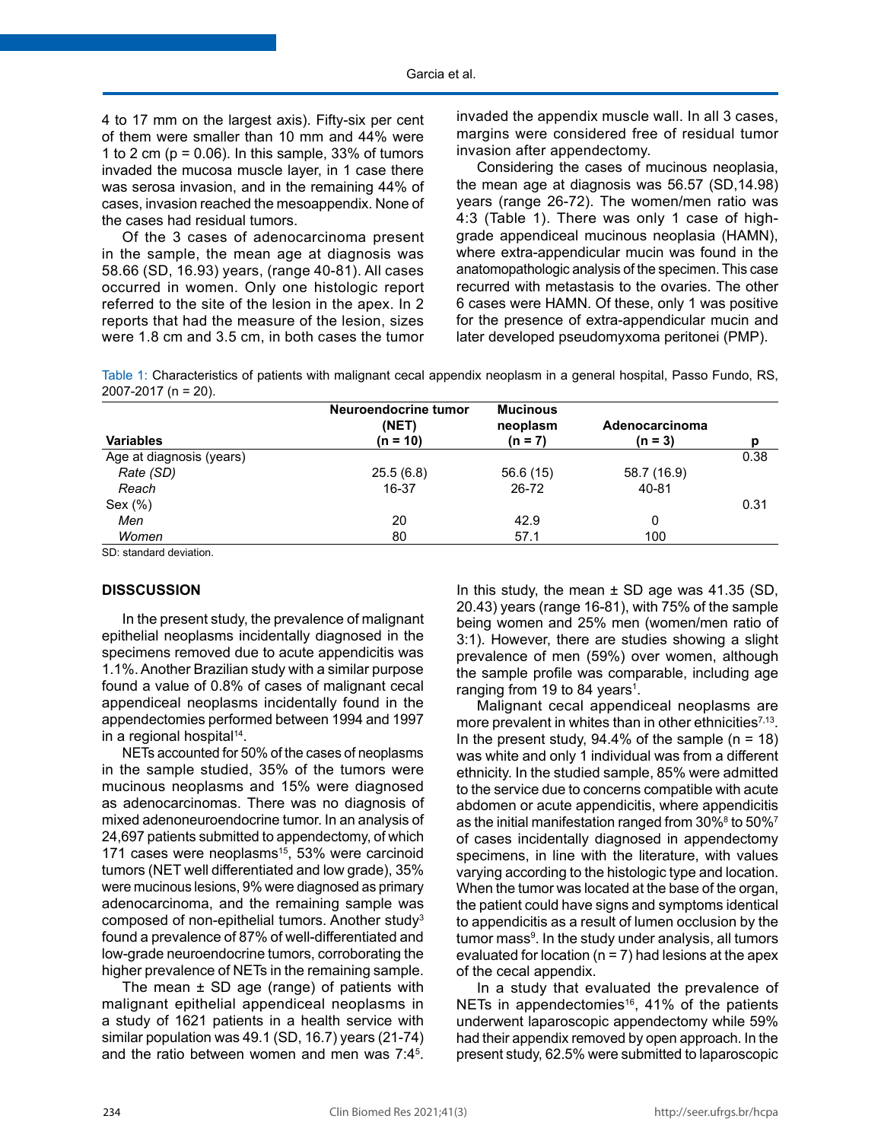4 to 17 mm on the largest axis). Fifty-six per cent of them were smaller than 10 mm and 44% were 1 to 2 cm ( $p = 0.06$ ). In this sample, 33% of tumors invaded the mucosa muscle layer, in 1 case there was serosa invasion, and in the remaining 44% of cases, invasion reached the mesoappendix. None of the cases had residual tumors.

Of the 3 cases of adenocarcinoma present in the sample, the mean age at diagnosis was 58.66 (SD, 16.93) years, (range 40-81). All cases occurred in women. Only one histologic report referred to the site of the lesion in the apex. In 2 reports that had the measure of the lesion, sizes were 1.8 cm and 3.5 cm, in both cases the tumor

invaded the appendix muscle wall. In all 3 cases, margins were considered free of residual tumor invasion after appendectomy.

Considering the cases of mucinous neoplasia, the mean age at diagnosis was 56.57 (SD,14.98) years (range 26-72). The women/men ratio was 4:3 (Table 1). There was only 1 case of highgrade appendiceal mucinous neoplasia (HAMN), where extra-appendicular mucin was found in the anatomopathologic analysis of the specimen. This case recurred with metastasis to the ovaries. The other 6 cases were HAMN. Of these, only 1 was positive for the presence of extra-appendicular mucin and later developed pseudomyxoma peritonei (PMP).

Table 1: Characteristics of patients with malignant cecal appendix neoplasm in a general hospital, Passo Fundo, RS, 2007-2017 (n = 20).

| <b>Variables</b> | Neuroendocrine tumor<br>(NET)<br>(n = 10) | <b>Mucinous</b><br>neoplasm<br>$(n = 7)$ | Adenocarcinoma<br>$(n = 3)$ | D    |
|------------------|-------------------------------------------|------------------------------------------|-----------------------------|------|
|                  |                                           |                                          |                             |      |
| Rate (SD)        | 25.5(6.8)                                 | 56.6(15)                                 | 58.7 (16.9)                 |      |
| Reach            | 16-37                                     | 26-72                                    | 40-81                       |      |
| Sex (%)          |                                           |                                          |                             | 0.31 |
| Men              | 20                                        | 42.9                                     | 0                           |      |
| Women            | 80                                        | 57.1                                     | 100                         |      |

SD: standard deviation.

### **DISSCUSSION**

In the present study, the prevalence of malignant epithelial neoplasms incidentally diagnosed in the specimens removed due to acute appendicitis was 1.1%. Another Brazilian study with a similar purpose found a value of 0.8% of cases of malignant cecal appendiceal neoplasms incidentally found in the appendectomies performed between 1994 and 1997 in a regional hospital<sup>14</sup>.

NETs accounted for 50% of the cases of neoplasms in the sample studied, 35% of the tumors were mucinous neoplasms and 15% were diagnosed as adenocarcinomas. There was no diagnosis of mixed adenoneuroendocrine tumor. In an analysis of 24,697 patients submitted to appendectomy, of which 171 cases were neoplasms<sup>15</sup>, 53% were carcinoid tumors (NET well differentiated and low grade), 35% were mucinous lesions, 9% were diagnosed as primary adenocarcinoma, and the remaining sample was composed of non-epithelial tumors. Another study<sup>3</sup> found a prevalence of 87% of well-differentiated and low-grade neuroendocrine tumors, corroborating the higher prevalence of NETs in the remaining sample.

The mean  $\pm$  SD age (range) of patients with malignant epithelial appendiceal neoplasms in a study of 1621 patients in a health service with similar population was 49.1 (SD, 16.7) years (21-74) and the ratio between women and men was 7:4<sup>5</sup> . In this study, the mean  $\pm$  SD age was 41.35 (SD, 20.43) years (range 16-81), with 75% of the sample being women and 25% men (women/men ratio of 3:1). However, there are studies showing a slight prevalence of men (59%) over women, although the sample profile was comparable, including age ranging from 19 to 84 years<sup>1</sup>.

Malignant cecal appendiceal neoplasms are more prevalent in whites than in other ethnicities<sup> $7,13$ </sup>. In the present study,  $94.4\%$  of the sample (n = 18) was white and only 1 individual was from a different ethnicity. In the studied sample, 85% were admitted to the service due to concerns compatible with acute abdomen or acute appendicitis, where appendicitis as the initial manifestation ranged from  $30\%$ <sup>8</sup> to  $50\%$ <sup>7</sup> of cases incidentally diagnosed in appendectomy specimens, in line with the literature, with values varying according to the histologic type and location. When the tumor was located at the base of the organ, the patient could have signs and symptoms identical to appendicitis as a result of lumen occlusion by the tumor mass<sup>9</sup>. In the study under analysis, all tumors evaluated for location ( $n = 7$ ) had lesions at the apex of the cecal appendix.

In a study that evaluated the prevalence of NETs in appendectomies<sup>16</sup>, 41% of the patients underwent laparoscopic appendectomy while 59% had their appendix removed by open approach. In the present study, 62.5% were submitted to laparoscopic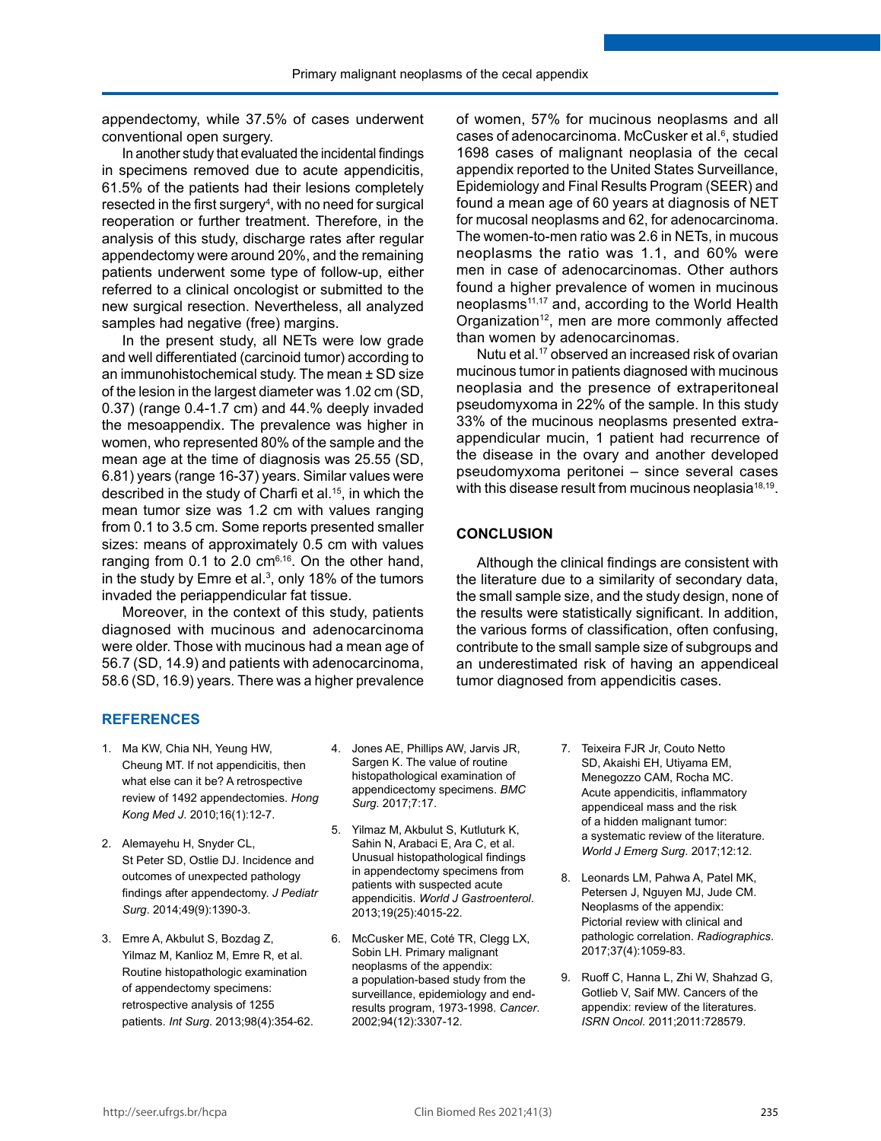appendectomy, while 37.5% of cases underwent conventional open surgery.

In another study that evaluated the incidental findings in specimens removed due to acute appendicitis, 61.5% of the patients had their lesions completely resected in the first surgery<sup>4</sup>, with no need for surgical reoperation or further treatment. Therefore, in the analysis of this study, discharge rates after regular appendectomy were around 20%, and the remaining patients underwent some type of follow-up, either referred to a clinical oncologist or submitted to the new surgical resection. Nevertheless, all analyzed samples had negative (free) margins.

In the present study, all NETs were low grade and well differentiated (carcinoid tumor) according to an immunohistochemical study. The mean ± SD size of the lesion in the largest diameter was 1.02 cm (SD, 0.37) (range 0.4-1.7 cm) and 44.% deeply invaded the mesoappendix. The prevalence was higher in women, who represented 80% of the sample and the mean age at the time of diagnosis was 25.55 (SD, 6.81) years (range 16-37) years. Similar values were described in the study of Charfi et al.<sup>15</sup>, in which the mean tumor size was 1.2 cm with values ranging from 0.1 to 3.5 cm. Some reports presented smaller sizes: means of approximately 0.5 cm with values ranging from  $0.1$  to  $2.0$  cm $^{6,16}$ . On the other hand, in the study by Emre et al. $3$ , only 18% of the tumors invaded the periappendicular fat tissue.

Moreover, in the context of this study, patients diagnosed with mucinous and adenocarcinoma were older. Those with mucinous had a mean age of 56.7 (SD, 14.9) and patients with adenocarcinoma, 58.6 (SD, 16.9) years. There was a higher prevalence of women, 57% for mucinous neoplasms and all cases of adenocarcinoma. McCusker et al.<sup>6</sup>, studied 1698 cases of malignant neoplasia of the cecal appendix reported to the United States Surveillance, Epidemiology and Final Results Program (SEER) and found a mean age of 60 years at diagnosis of NET for mucosal neoplasms and 62, for adenocarcinoma. The women-to-men ratio was 2.6 in NETs, in mucous neoplasms the ratio was 1.1, and 60% were men in case of adenocarcinomas. Other authors found a higher prevalence of women in mucinous neoplasms11,17 and, according to the World Health Organization<sup>12</sup>, men are more commonly affected than women by adenocarcinomas.

Nutu et al.<sup>17</sup> observed an increased risk of ovarian mucinous tumor in patients diagnosed with mucinous neoplasia and the presence of extraperitoneal pseudomyxoma in 22% of the sample. In this study 33% of the mucinous neoplasms presented extraappendicular mucin, 1 patient had recurrence of the disease in the ovary and another developed pseudomyxoma peritonei – since several cases with this disease result from mucinous neoplasia $18,19$ .

## **CONCLUSION**

Although the clinical findings are consistent with the literature due to a similarity of secondary data, the small sample size, and the study design, none of the results were statistically significant. In addition, the various forms of classification, often confusing, contribute to the small sample size of subgroups and an underestimated risk of having an appendiceal tumor diagnosed from appendicitis cases.

# **REFERENCES**

- 1. Ma KW, Chia NH, Yeung HW, Cheung MT. If not appendicitis, then what else can it be? A retrospective review of 1492 appendectomies. *Hong Kong Med J*. 2010;16(1):12-7.
- 2. Alemayehu H, Snyder CL, St Peter SD, Ostlie DJ. Incidence and outcomes of unexpected pathology findings after appendectomy. *J Pediatr Surg*. 2014;49(9):1390-3.
- 3. Emre A, Akbulut S, Bozdag Z, Yilmaz M, Kanlioz M, Emre R, et al. Routine histopathologic examination of appendectomy specimens: retrospective analysis of 1255 patients. *Int Surg*. 2013;98(4):354-62.
- 4. Jones AE, Phillips AW, Jarvis JR, Sargen K. The value of routine histopathological examination of appendicectomy specimens. *BMC Surg*. 2017;7:17.
- 5. Yilmaz M, Akbulut S, Kutluturk K, Sahin N, Arabaci E, Ara C, et al. Unusual histopathological findings in appendectomy specimens from patients with suspected acute appendicitis. *World J Gastroenterol*. 2013;19(25):4015-22.
- 6. McCusker ME, Coté TR, Clegg LX, Sobin LH. Primary malignant neoplasms of the appendix: a population-based study from the surveillance, epidemiology and endresults program, 1973-1998. *Cancer*. 2002;94(12):3307-12.
- 7. Teixeira FJR Jr, Couto Netto SD, Akaishi EH, Utiyama EM, Menegozzo CAM, Rocha MC. Acute appendicitis, inflammatory appendiceal mass and the risk of a hidden malignant tumor: a systematic review of the literature. *World J Emerg Surg*. 2017;12:12.
- 8. Leonards LM, Pahwa A, Patel MK, Petersen J, Nguyen MJ, Jude CM. Neoplasms of the appendix: Pictorial review with clinical and pathologic correlation. *Radiographics*. 2017;37(4):1059-83.
- 9. Ruoff C, Hanna L, Zhi W, Shahzad G, Gotlieb V, Saif MW. Cancers of the appendix: review of the literatures. *ISRN Oncol*. 2011;2011:728579.